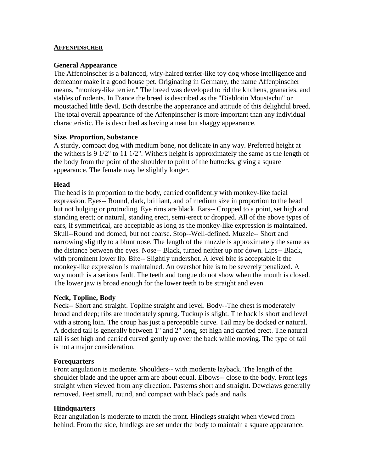#### **AFFENPINSCHER**

#### **General Appearance**

The Affenpinscher is a balanced, wiry-haired terrier-like toy dog whose intelligence and demeanor make it a good house pet. Originating in Germany, the name Affenpinscher means, "monkey-like terrier." The breed was developed to rid the kitchens, granaries, and stables of rodents. In France the breed is described as the "Diablotin Moustachu" or moustached little devil. Both describe the appearance and attitude of this delightful breed. The total overall appearance of the Affenpinscher is more important than any individual characteristic. He is described as having a neat but shaggy appearance.

### **Size, Proportion, Substance**

A sturdy, compact dog with medium bone, not delicate in any way. Preferred height at the withers is 9 1/2" to 11 1/2". Withers height is approximately the same as the length of the body from the point of the shoulder to point of the buttocks, giving a square appearance. The female may be slightly longer.

### **Head**

The head is in proportion to the body, carried confidently with monkey-like facial expression. Eyes-- Round, dark, brilliant, and of medium size in proportion to the head but not bulging or protruding. Eye rims are black. Ears-- Cropped to a point, set high and standing erect; or natural, standing erect, semi-erect or dropped. All of the above types of ears, if symmetrical, are acceptable as long as the monkey-like expression is maintained. Skull--Round and domed, but not coarse. Stop--Well-defined. Muzzle-- Short and narrowing slightly to a blunt nose. The length of the muzzle is approximately the same as the distance between the eyes. Nose-- Black, turned neither up nor down. Lips**--** Black, with prominent lower lip. Bite-- Slightly undershot. A level bite is acceptable if the monkey-like expression is maintained. An overshot bite is to be severely penalized. A wry mouth is a serious fault. The teeth and tongue do not show when the mouth is closed. The lower jaw is broad enough for the lower teeth to be straight and even.

## **Neck, Topline, Body**

Neck-- Short and straight. Topline straight and level. Body--The chest is moderately broad and deep; ribs are moderately sprung. Tuckup is slight. The back is short and level with a strong loin. The croup has just a perceptible curve. Tail may be docked or natural. A docked tail is generally between 1" and 2" long, set high and carried erect. The natural tail is set high and carried curved gently up over the back while moving. The type of tail is not a major consideration.

#### **Forequarters**

Front angulation is moderate. Shoulders-- with moderate layback. The length of the shoulder blade and the upper arm are about equal. Elbows-- close to the body. Front legs straight when viewed from any direction. Pasterns short and straight. Dewclaws generally removed. Feet small, round, and compact with black pads and nails.

#### **Hindquarters**

Rear angulation is moderate to match the front. Hindlegs straight when viewed from behind. From the side, hindlegs are set under the body to maintain a square appearance.